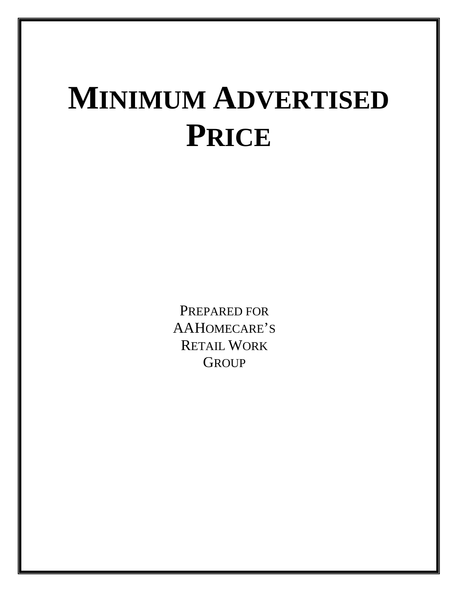## **MINIMUM ADVERTISED PRICE**

PREPARED FOR AAHOMECARE'S RETAIL WORK **GROUP**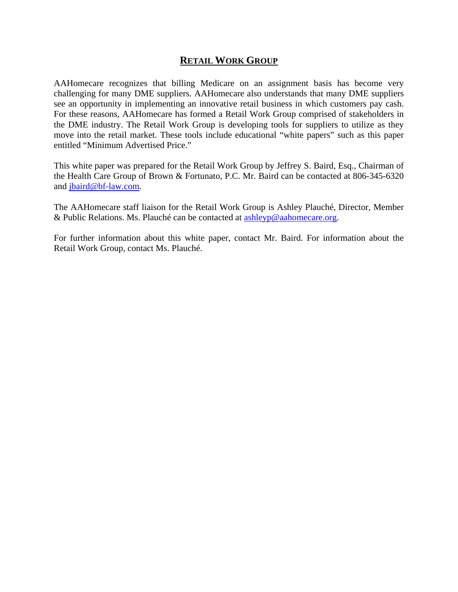## **RETAIL WORK GROUP**

AAHomecare recognizes that billing Medicare on an assignment basis has become very challenging for many DME suppliers. AAHomecare also understands that many DME suppliers see an opportunity in implementing an innovative retail business in which customers pay cash. For these reasons, AAHomecare has formed a Retail Work Group comprised of stakeholders in the DME industry. The Retail Work Group is developing tools for suppliers to utilize as they move into the retail market. These tools include educational "white papers" such as this paper entitled "Minimum Advertised Price."

This white paper was prepared for the Retail Work Group by Jeffrey S. Baird, Esq., Chairman of the Health Care Group of Brown & Fortunato, P.C. Mr. Baird can be contacted at 806-345-6320 and jbaird@bf-law.com.

The AAHomecare staff liaison for the Retail Work Group is Ashley Plauché, Director, Member & Public Relations. Ms. Plauché can be contacted at  $\frac{\text{ashleyp@aabomecare.org}}{\text{ashomecare.org}}$ .

For further information about this white paper, contact Mr. Baird. For information about the Retail Work Group, contact Ms. Plauché.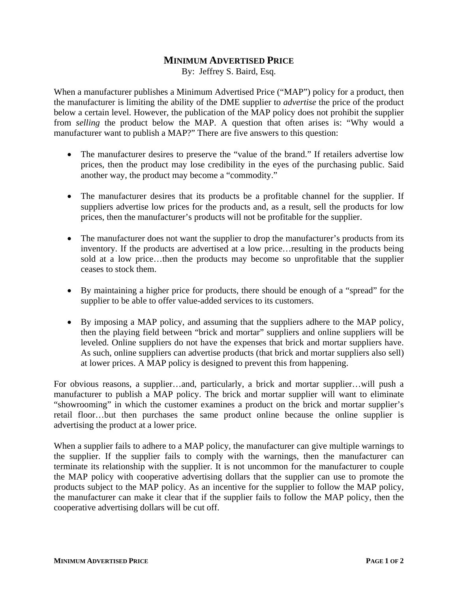## **MINIMUM ADVERTISED PRICE**

By: Jeffrey S. Baird, Esq.

When a manufacturer publishes a Minimum Advertised Price ("MAP") policy for a product, then the manufacturer is limiting the ability of the DME supplier to *advertise* the price of the product below a certain level. However, the publication of the MAP policy does not prohibit the supplier from *selling* the product below the MAP. A question that often arises is: "Why would a manufacturer want to publish a MAP?" There are five answers to this question:

- The manufacturer desires to preserve the "value of the brand." If retailers advertise low prices, then the product may lose credibility in the eyes of the purchasing public. Said another way, the product may become a "commodity."
- The manufacturer desires that its products be a profitable channel for the supplier. If suppliers advertise low prices for the products and, as a result, sell the products for low prices, then the manufacturer's products will not be profitable for the supplier.
- The manufacturer does not want the supplier to drop the manufacturer's products from its inventory. If the products are advertised at a low price…resulting in the products being sold at a low price…then the products may become so unprofitable that the supplier ceases to stock them.
- By maintaining a higher price for products, there should be enough of a "spread" for the supplier to be able to offer value-added services to its customers.
- By imposing a MAP policy, and assuming that the suppliers adhere to the MAP policy, then the playing field between "brick and mortar" suppliers and online suppliers will be leveled. Online suppliers do not have the expenses that brick and mortar suppliers have. As such, online suppliers can advertise products (that brick and mortar suppliers also sell) at lower prices. A MAP policy is designed to prevent this from happening.

For obvious reasons, a supplier…and, particularly, a brick and mortar supplier…will push a manufacturer to publish a MAP policy. The brick and mortar supplier will want to eliminate "showrooming" in which the customer examines a product on the brick and mortar supplier's retail floor…but then purchases the same product online because the online supplier is advertising the product at a lower price.

When a supplier fails to adhere to a MAP policy, the manufacturer can give multiple warnings to the supplier. If the supplier fails to comply with the warnings, then the manufacturer can terminate its relationship with the supplier. It is not uncommon for the manufacturer to couple the MAP policy with cooperative advertising dollars that the supplier can use to promote the products subject to the MAP policy. As an incentive for the supplier to follow the MAP policy, the manufacturer can make it clear that if the supplier fails to follow the MAP policy, then the cooperative advertising dollars will be cut off.